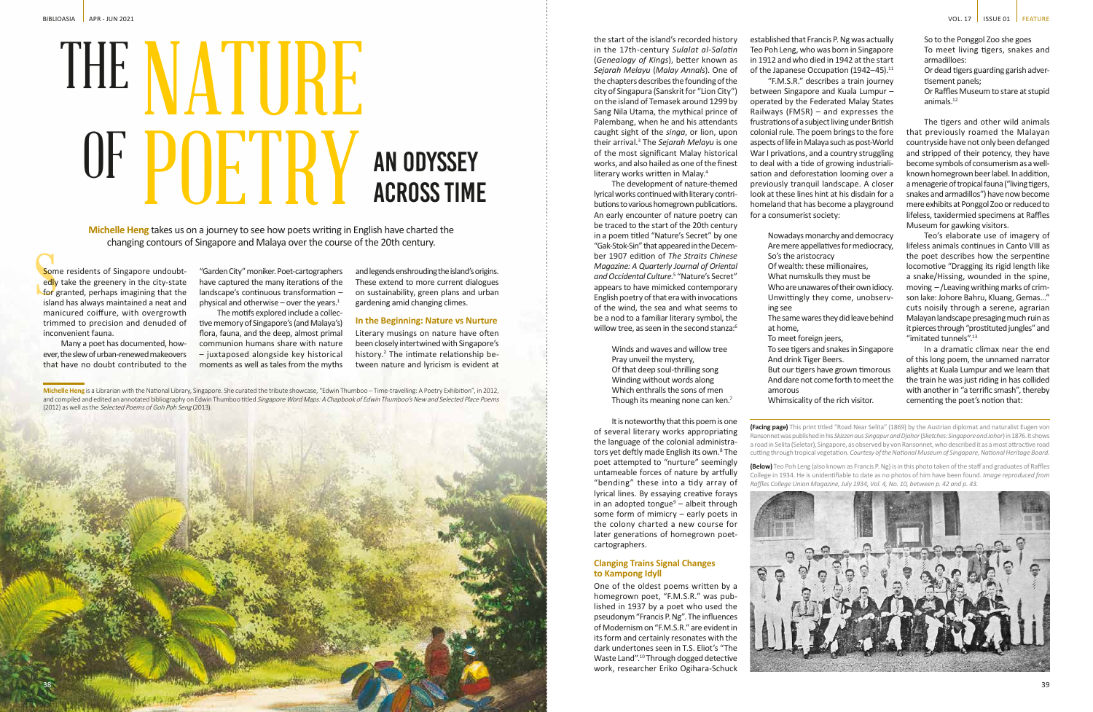**Michelle Heng** is a Librarian with the National Library, Singapore. She curated the tribute showcase, "Edwin Thumboo – Time-travelling: A Poetry Exhibition", in 2012, and compiled and edited an annotated bibliography on Edwin Thumboo titled Singapore Word Maps: A Chapbook of Edwin Thumboo's New and Selected Place Poems (2012) as well as the Selected Poems of Goh Poh Seng (2013).

Som<br>
edly<br>
for<br>
islam Some residents of Singapore undoubtedly take the greenery in the city-state for granted, perhaps imagining that the island has always maintained a neat and manicured coiffure, with overgrowth trimmed to precision and denuded of inconvenient fauna.

**Michelle Heng** takes us on a journey to see how poets writing in English have charted the changing contours of Singapore and Malaya over the course of the 20th century.

> "Garden City" moniker. Poet-cartographers have captured the many iterations of the landscape's continuous transformation – physical and otherwise – over the years. $1$

Many a poet has documented, however, the slew of urban-renewed makeovers that have no doubt contributed to the

> **(Facing page)** This print titled "Road Near Selita" (1869) by the Austrian diplomat and naturalist Eugen von Ransonnet was published in his *Skizzen aus Singapur and Djohor* (*Sketches: Singapore and Johor*) in 1876. It shows a road in Selita (Seletar), Singapore, as observed by von Ransonnet, who described it as a most attractive road cutting through tropical vegetation. *Courtesy of the National Museum of Singapore, National Heritage Board.*

The development of nature-themed lyrical works continued with literary contributions to various homegrown publications. An early encounter of nature poetry can be traced to the start of the 20th century in a poem titled "Nature's Secret" by one "Gak-Stok-Sin" that appeared in the December 1907 edition of *The Straits Chinese Magazine: A Quarterly Journal of Oriental and Occidental Culture.*<sup>5</sup> "Nature's Secret" appears to have mimicked contemporary English poetry of that era with invocations of the wind, the sea and what seems to be a nod to a familiar literary symbol, the willow tree, as seen in the second stanza:<sup>6</sup>

> **(Below)** Teo Poh Leng (also known as Francis P. Ng) is in this photo taken of the staff and graduates of Raffles College in 1934. He is unidentifiable to date as no photos of him have been found. *Image reproduced from Raffles College Union Magazine, July 1934, Vol. 4, No. 10, between p. 42 and p. 43.*



Winds and waves and willow tree Pray unveil the mystery, Of that deep soul-thrilling song Winding without words along Which enthralls the sons of men Though its meaning none can ken.<sup>7</sup>

The motifs explored include a collective memory of Singapore's (and Malaya's) flora, fauna, and the deep, almost primal communion humans share with nature – juxtaposed alongside key historical moments as well as tales from the myths and legends enshrouding the island's origins. These extend to more current dialogues on sustainability, green plans and urban gardening amid changing climes.

## **In the Beginning: Nature vs Nurture**

Literary musings on nature have often been closely intertwined with Singapore's history.<sup>2</sup> The intimate relationship between nature and lyricism is evident at

the start of the island's recorded history in the 17th-century *Sulalat al-Salatin* (*Genealogy of Kings*), better known as *Sejarah Melayu* (*Malay Annals*). One of the chapters describes the founding of the city of Singapura (Sanskrit for "Lion City") on the island of Temasek around 1299 by Sang Nila Utama, the mythical prince of Palembang, when he and his attendants caught sight of the *singa*, or lion, upon their arrival.<sup>3</sup> The *Sejarah Melayu* is one of the most significant Malay historical works, and also hailed as one of the finest literary works written in Malay.4

# An Odyssey Across Time THE NATURE OF POETRY

It is noteworthy that this poem is one of several literary works appropriating the language of the colonial administrators yet deftly made English its own.<sup>8</sup> The poet attempted to "nurture" seemingly untameable forces of nature by artfully "bending" these into a tidy array of lyrical lines. By essaying creative forays in an adopted tongue<sup>9</sup> – albeit through some form of mimicry – early poets in the colony charted a new course for later generations of homegrown poet-

cartographers.

# **Clanging Trains Signal Changes to Kampong Idyll**

One of the oldest poems written by a homegrown poet, "F.M.S.R." was published in 1937 by a poet who used the pseudonym "Francis P. Ng". The influences of Modernism on "F.M.S.R." are evident in its form and certainly resonates with the dark undertones seen in T.S. Eliot's "The Waste Land".10 Through dogged detective work, researcher Eriko Ogihara-Schuck

established that Francis P. Ng was actually Teo Poh Leng, who was born in Singapore in 1912 and who died in 1942 at the start of the Japanese Occupation (1942-45).<sup>11</sup> "F.M.S.R." describes a train journey between Singapore and Kuala Lumpur – operated by the Federated Malay States Railways (FMSR) – and expresses the frustrations of a subject living under British colonial rule. The poem brings to the fore aspects of life in Malaya such as post-World War I privations, and a country struggling to deal with a tide of growing industrialisation and deforestation looming over a previously tranquil landscape. A closer look at these lines hint at his disdain for a homeland that has become a playground for a consumerist society:

- Nowadays monarchy and democracy Are mere appellatives for mediocracy,
	-
	-
	-
- Unwittingly they come, unobserv-

The same wares they did leave behind

So's the aristocracy Of wealth: these millionaires, What numskulls they must be Who are unawares of their own idiocy. ing see at home, To meet foreign jeers, And drink Tiger Beers. amorous

- 
- To see tigers and snakes in Singapore
- But our tigers have grown timorous And dare not come forth to meet the

Whimsicality of the rich visitor.

So to the Ponggol Zoo she goes To meet living tigers, snakes and armadilloes:

- Or dead tigers guarding garish advertisement panels;
- Or Raffles Museum to stare at stupid animals.12

The tigers and other wild animals that previously roamed the Malayan countryside have not only been defanged and stripped of their potency, they have become symbols of consumerism as a wellknown homegrown beer label. In addition, a menagerie of tropical fauna ("living tigers, snakes and armadillos") have now become mere exhibits at Ponggol Zoo or reduced to lifeless, taxidermied specimens at Raffles Museum for gawking visitors.

Teo's elaborate use of imagery of lifeless animals continues in Canto VIII as the poet describes how the serpentine locomotive "Dragging its rigid length like a snake/Hissing, wounded in the spine, moving – /Leaving writhing marks of crimson lake: Johore Bahru, Kluang, Gemas…" cuts noisily through a serene, agrarian Malayan landscape presaging much ruin as it pierces through "prostituted jungles" and "imitated tunnels".13

In a dramatic climax near the end of this long poem, the unnamed narrator alights at Kuala Lumpur and we learn that the train he was just riding in has collided with another in "a terrific smash", thereby cementing the poet's notion that:



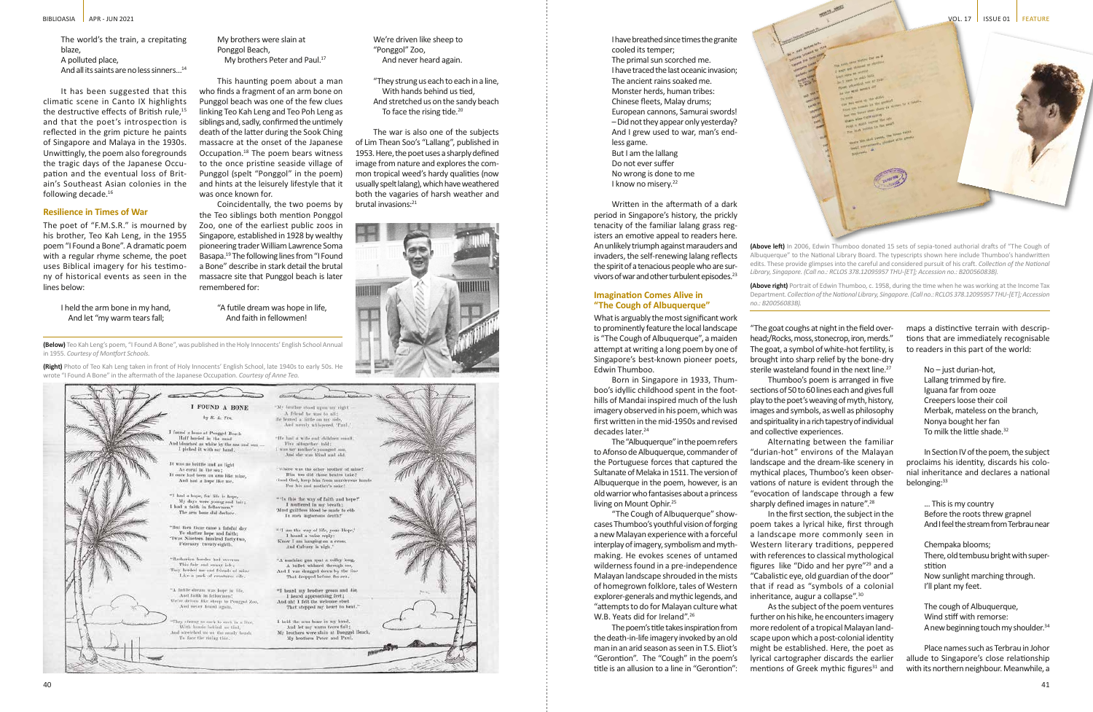The world's the train, a crepitating blaze, A polluted place, And all its saints are no less sinners...<sup>14</sup>

It has been suggested that this climatic scene in Canto IX highlights the destructive effects of British rule.<sup>15</sup> and that the poet's introspection is reflected in the grim picture he paints of Singapore and Malaya in the 1930s. Unwittingly, the poem also foregrounds the tragic days of the Japanese Occupation and the eventual loss of Britain's Southeast Asian colonies in the following decade.<sup>16</sup>

My brothers were slain at Ponggol Beach, My brothers Peter and Paul.<sup>17</sup>

### **Resilience in Times of War**

The poet of "F.M.S.R." is mourned by his brother, Teo Kah Leng, in the 1955 poem "I Found a Bone". A dramatic poem with a regular rhyme scheme, the poet uses Biblical imagery for his testimony of historical events as seen in the lines below:

> I held the arm bone in my hand, And let "my warm tears fall;

"They strung us each to each in a line, With hands behind us tied, And stretched us on the sandy beach To face the rising tide.<sup>20</sup>

The war is also one of the subjects of Lim Thean Soo's "Lallang", published in 1953. Here, the poet uses a sharply defined image from nature and explores the common tropical weed's hardy qualities (now usually spelt lalang), which have weathered both the vagaries of harsh weather and brutal invasions:<sup>21</sup>



This haunting poem about a man who finds a fragment of an arm bone on Punggol beach was one of the few clues linking Teo Kah Leng and Teo Poh Leng as siblings and, sadly, confirmed the untimely death of the latter during the Sook Ching massacre at the onset of the Japanese Occupation.18 The poem bears witness to the once pristine seaside village of Punggol (spelt "Ponggol" in the poem) and hints at the leisurely lifestyle that it was once known for.

I have breathed since times the granite cooled its temper; The primal sun scorched me. I have traced the last oceanic invasion; The ancient rains soaked me. Monster herds, human tribes: Chinese fleets, Malay drums; European cannons, Samurai swords! – Did not they appear only yesterday? And I grew used to war, man's endless game. But I am the lallang Do not ever suffer No wrong is done to me I know no misery.<sup>22</sup>

Coincidentally, the two poems by the Teo siblings both mention Ponggol Zoo, one of the earliest public zoos in Singapore, established in 1928 by wealthy pioneering trader William Lawrence Soma Basapa.19 The following lines from "I Found a Bone" describe in stark detail the brutal massacre site that Punggol beach is later remembered for:

#### "A futile dream was hope in life, And faith in fellowmen!

We're driven like sheep to "Ponggol" Zoo, And never heard again.

> Born in Singapore in 1933, Thumboo's idyllic childhood spent in the foothills of Mandai inspired much of the lush imagery observed in his poem, which was first written in the mid-1950s and revised decades later.<sup>24</sup>

The "Albuquerque" in the poem refers to Afonso de Albuquerque, commander of the Portuguese forces that captured the Sultanate of Melaka in 1511. The version of Albuquerque in the poem, however, is an old warrior who fantasises about a princess living on Mount Ophir.<sup>25</sup>

"The Cough of Albuquerque" showcases Thumboo's youthful vision of forging a new Malayan experience with a forceful interplay of imagery, symbolism and mythmaking. He evokes scenes of untamed wilderness found in a pre-independence Malayan landscape shrouded in the mists of homegrown folklore, tales of Western explorer-generals and mythic legends, and "attempts to do for Malayan culture what W.B. Yeats did for Ireland".<sup>26</sup>

**(Below)** Teo Kah Leng's poem, "I Found A Bone", was published in the Holy Innocents' English School Annual in 1955. *Courtesy of Montfort Schools.*

**(Right)** Photo of Teo Kah Leng taken in front of Holy Innocents' English School, late 1940s to early 50s. He wrote "I Found A Bone" in the aftermath of the Japanese Occupation. *Courtesy of Anne Teo.*



"The goat coughs at night in the field overhead;/Rocks, moss, stonecrop, iron, merds." The goat, a symbol of white-hot fertility, is brought into sharp relief by the bone-dry sterile wasteland found in the next line.<sup>27</sup>

Alternating between the familiar "durian-hot" environs of the Malayan landscape and the dream-like scenery in mythical places, Thumboo's keen observations of nature is evident through the "evocation of landscape through a few sharply defined images in nature".<sup>28</sup>

Written in the aftermath of a dark period in Singapore's history, the prickly tenacity of the familiar lalang grass registers an emotive appeal to readers here. An unlikely triumph against marauders and invaders, the self-renewing lalang reflects the spirit of a tenacious people who are survivors of war and other turbulent episodes.23

> As the subject of the poem ventures further on his hike, he encounters imagery more redolent of a tropical Malayan landscape upon which a post-colonial identity might be established. Here, the poet as lyrical cartographer discards the earlier mentions of Greek mythic figures $31$  and

## **Imagination Comes Alive in "The Cough of Albuquerque"**

No – just durian-hot, Lallang trimmed by fire. Iguana far from ooze Creepers loose their coil Merbak, mateless on the branch, Nonya bought her fan To milk the little shade.<sup>32</sup>

In Section IV of the poem, the subject proclaims his identity, discards his colonial inheritance and declares a national belonging:<sup>33</sup>

What is arguably the most significant work to prominently feature the local landscape is "The Cough of Albuquerque", a maiden attempt at writing a long poem by one of Singapore's best-known pioneer poets, Edwin Thumboo.

> The cough of Albuquerque, Wind stiff with remorse: A new beginning touch my shoulder.<sup>34</sup>

The poem's title takes inspiration from the death-in-life imagery invoked by an old man in an arid season as seen in T.S. Eliot's "Gerontion". The "Cough" in the poem's title is an allusion to a line in "Gerontion": **(Above left)** In 2006, Edwin Thumboo donated 15 sets of sepia-toned authorial drafts of "The Cough of Albuquerque" to the National Library Board. The typescripts shown here include Thumboo's handwritten edits. These provide glimpses into the careful and considered pursuit of his craft. *Collection of the National Library, Singapore. (Call no.: RCLOS 378.12095957 THU-[ET]; Accession no.: B20056083B).*

**(Above right)** Portrait of Edwin Thumboo, c. 1958, during the time when he was working at the Income Tax Department. *Collection of the National Library, Singapore. (Call no.: RCLOS 378.12095957 THU-[ET]; Accession no.: B20056083B).*

Thumboo's poem is arranged in five sections of 50 to 60 lines each and gives full play to the poet's weaving of myth, history, images and symbols, as well as philosophy and spirituality in a rich tapestry of individual and collective experiences.

In the first section, the subject in the poem takes a lyrical hike, first through a landscape more commonly seen in Western literary traditions, peppered with references to classical mythological figures like "Dido and her pyre"29 and a "Cabalistic eye, old guardian of the door" that if read as "symbols of a colonial inheritance, augur a collapse".30

maps a distinctive terrain with descriptions that are immediately recognisable to readers in this part of the world:

> ... This is my country Before the roots threw grapnel And I feel the stream from Terbrau near

> Chempaka blooms; There, old tembusu bright with superstition Now sunlight marching through. I'll plant my feet.

Place names such as Terbrau in Johor allude to Singapore's close relationship with its northern neighbour. Meanwhile, a